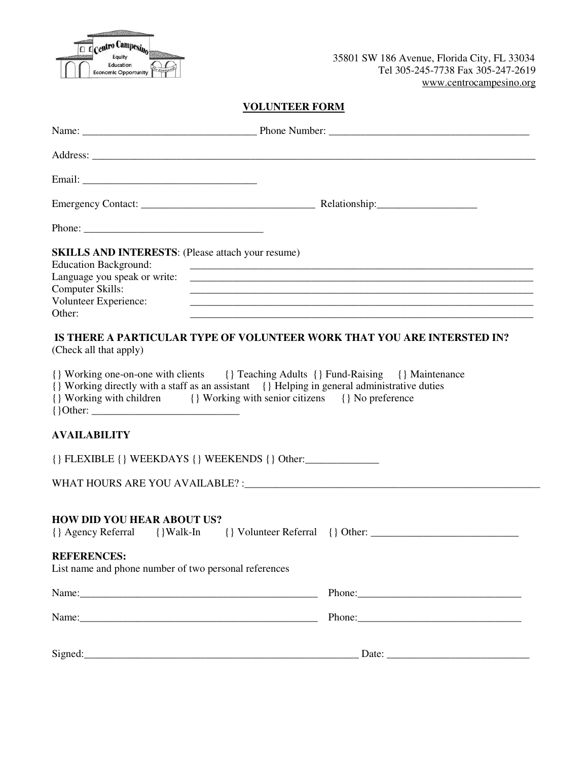| U | $\frac{1}{2}$ Centro $\frac{1}{2}$ |  |
|---|------------------------------------|--|
|   | Equity                             |  |
|   | Education                          |  |
|   | <b>Economic Opportunity</b>        |  |

## **VOLUNTEER FORM**

| <b>SKILLS AND INTERESTS:</b> (Please attach your resume)<br><b>Education Background:</b><br>Computer Skills:<br>Volunteer Experience:<br>Other:                                                                                                                   | <u> 1989 - Jan Barnett, fransk politik (d. 1989)</u><br><u> 1989 - Johann John Stone, markin bashkar (b. 1989)</u><br><u> 1989 - Jan James James James James James James James James James James James James James James James James</u> |
|-------------------------------------------------------------------------------------------------------------------------------------------------------------------------------------------------------------------------------------------------------------------|------------------------------------------------------------------------------------------------------------------------------------------------------------------------------------------------------------------------------------------|
| IS THERE A PARTICULAR TYPE OF VOLUNTEER WORK THAT YOU ARE INTERSTED IN?<br>(Check all that apply)                                                                                                                                                                 |                                                                                                                                                                                                                                          |
| {} Working one-on-one with clients {} Teaching Adults {} Fund-Raising {} Maintenance<br>{} Working directly with a staff as an assistant {} Helping in general administrative duties<br>{} Working with children {} Working with senior citizens {} No preference |                                                                                                                                                                                                                                          |
| <b>AVAILABILITY</b>                                                                                                                                                                                                                                               |                                                                                                                                                                                                                                          |
| $\{\}$ FLEXIBLE $\{\}$ WEEKDAYS $\{\}$ WEEKENDS $\{\}$ Other:                                                                                                                                                                                                     |                                                                                                                                                                                                                                          |
|                                                                                                                                                                                                                                                                   |                                                                                                                                                                                                                                          |
| <b>HOW DID YOU HEAR ABOUT US?</b>                                                                                                                                                                                                                                 |                                                                                                                                                                                                                                          |
| <b>REFERENCES:</b><br>List name and phone number of two personal references                                                                                                                                                                                       |                                                                                                                                                                                                                                          |
|                                                                                                                                                                                                                                                                   |                                                                                                                                                                                                                                          |
|                                                                                                                                                                                                                                                                   |                                                                                                                                                                                                                                          |
|                                                                                                                                                                                                                                                                   |                                                                                                                                                                                                                                          |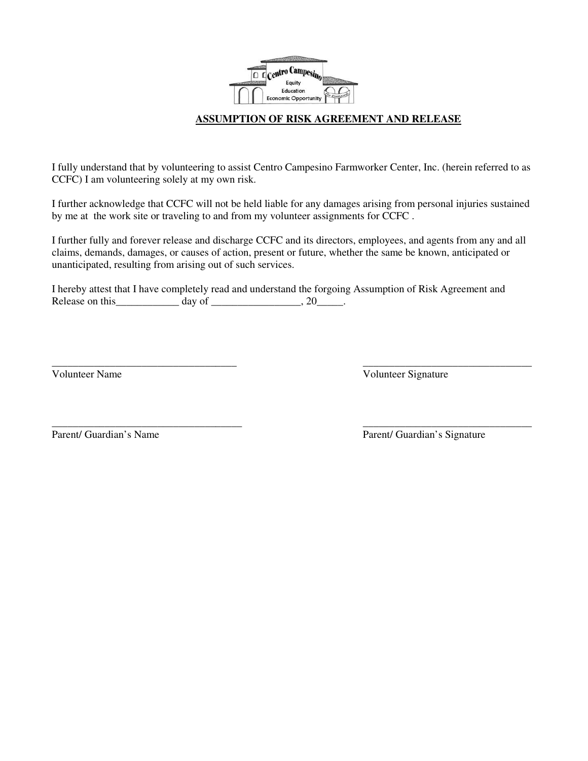

## **ASSUMPTION OF RISK AGREEMENT AND RELEASE**

I fully understand that by volunteering to assist Centro Campesino Farmworker Center, Inc. (herein referred to as CCFC) I am volunteering solely at my own risk.

I further acknowledge that CCFC will not be held liable for any damages arising from personal injuries sustained by me at the work site or traveling to and from my volunteer assignments for CCFC .

I further fully and forever release and discharge CCFC and its directors, employees, and agents from any and all claims, demands, damages, or causes of action, present or future, whether the same be known, anticipated or unanticipated, resulting from arising out of such services.

\_\_\_\_\_\_\_\_\_\_\_\_\_\_\_\_\_\_\_\_\_\_\_\_\_\_\_\_\_\_\_\_\_\_\_ \_\_\_\_\_\_\_\_\_\_\_\_\_\_\_\_\_\_\_\_\_\_\_\_\_\_\_\_\_\_\_\_

\_\_\_\_\_\_\_\_\_\_\_\_\_\_\_\_\_\_\_\_\_\_\_\_\_\_\_\_\_\_\_\_\_\_\_\_ \_\_\_\_\_\_\_\_\_\_\_\_\_\_\_\_\_\_\_\_\_\_\_\_\_\_\_\_\_\_\_\_

I hereby attest that I have completely read and understand the forgoing Assumption of Risk Agreement and Release on this  $\qquad \qquad \text{day of } \qquad \qquad 20 \qquad \qquad .$ 

Volunteer Name Volunteer Signature

Parent/ Guardian's Name Parent/ Guardian's Signature